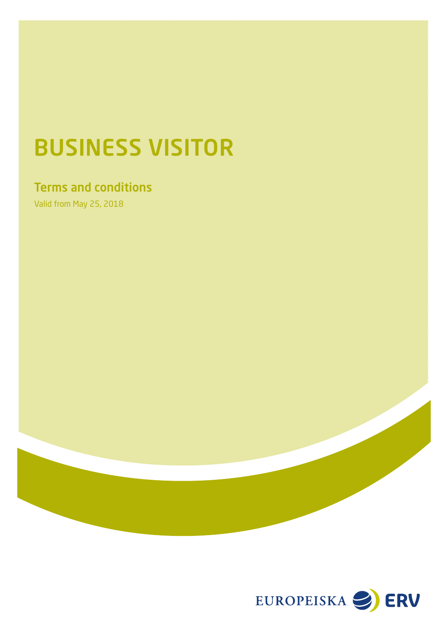# BUSINESS VISITOR

## Terms and conditions

Valid from May 25, 2018

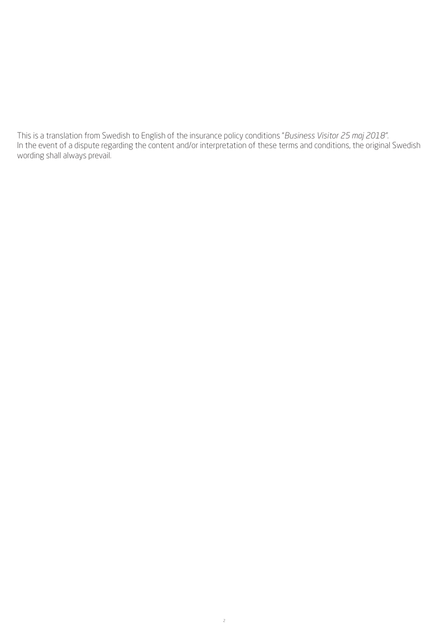This is a translation from Swedish to English of the insurance policy conditions "*Business Visitor 25 maj 2018"*. In the event of a dispute regarding the content and/or interpretation of these terms and conditions, the original Swedish wording shall always prevail.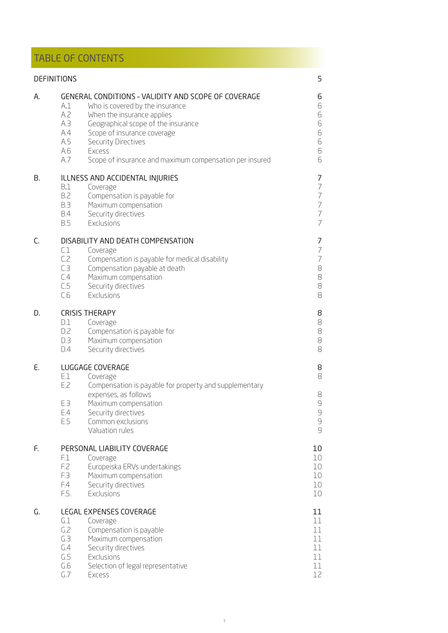## TABLE OF CONTENTS

|    | <b>DEFINITIONS</b>                                                                                                                                                                                                                                                                                                                      | 5                                                                                                               |
|----|-----------------------------------------------------------------------------------------------------------------------------------------------------------------------------------------------------------------------------------------------------------------------------------------------------------------------------------------|-----------------------------------------------------------------------------------------------------------------|
| А. | GENERAL CONDITIONS - VALIDITY AND SCOPE OF COVERAGE<br>A.1<br>Who is covered by the insurance<br>A.2<br>When the insurance applies<br>A.3<br>Geographical scope of the insurance<br>A.4<br>Scope of insurance coverage<br>A.5<br>Security Directives<br>A.6<br>Excess<br>A.7<br>Scope of insurance and maximum compensation per insured | 6<br>6<br>6<br>6<br>6<br>6<br>6<br>6                                                                            |
| В. | ILLNESS AND ACCIDENTAL INJURIES<br>B.1<br>Coverage<br><b>B.2</b><br>Compensation is payable for<br><b>B.3</b><br>Maximum compensation<br><b>B.4</b><br>Security directives<br><b>B.5</b><br>Exclusions                                                                                                                                  | 7<br>$\overline{ }$<br>$\overline{7}$<br>$\overline{\mathcal{I}}$<br>$\overline{\phantom{a}}$<br>$\overline{7}$ |
| C. | DISABILITY AND DEATH COMPENSATION<br>C.1<br>Coverage<br>C.2<br>Compensation is payable for medical disability<br>CЗ<br>Compensation payable at death<br>C.4<br>Maximum compensation<br>C.5<br>Security directives<br>C.6<br>Exclusions                                                                                                  | 7<br>$\overline{ }$<br>$\overline{ }$<br>$\mbox{8}$<br>$\mbox{8}$<br>8<br>8                                     |
| D. | <b>CRISIS THERAPY</b><br>D.1<br>Coverage<br>D.2<br>Compensation is payable for<br>D.3<br>Maximum compensation<br>D.4<br>Security directives                                                                                                                                                                                             | 8<br>$\mbox{8}$<br>$\mbox{8}$<br>$\mbox{8}$<br>8                                                                |
| E. | LUGGAGE COVERAGE<br>E.1<br>Coverage<br>E.2<br>Compensation is payable for property and supplementary<br>expenses, as follows<br>E.3<br>Maximum compensation<br>Security directives<br>E.4<br>E.5<br>Common exclusions<br>Valuation rules                                                                                                | 8<br>8<br>8<br>$\mathcal{G}$<br>$\mathcal G$<br>$\mathcal{G}$<br>$\mathcal{G}$                                  |
| F. | PERSONAL LIABILITY COVERAGE<br>F.1<br>Coverage<br>F.2<br>Europeiska ERVs undertakings<br>F.3<br>Maximum compensation<br>F.4<br>Security directives<br>F.5.<br>Exclusions                                                                                                                                                                | 10<br>10<br>10<br>10<br>10<br>10                                                                                |
| G. | LEGAL EXPENSES COVERAGE<br>G.1<br>Coverage<br>G.2<br>Compensation is payable<br>G.3<br>Maximum compensation<br>G.4<br>Security directives<br>G.5<br>Exclusions<br>G.6<br>Selection of legal representative<br>G.7<br>Excess                                                                                                             | 11<br>11<br>11<br>11<br>11<br>11<br>11<br>12                                                                    |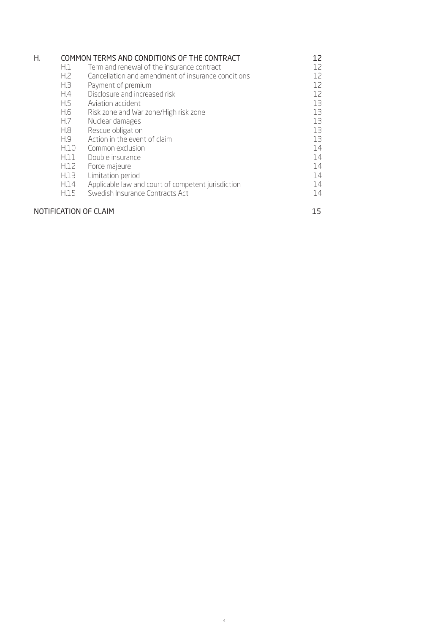| Η.                    |                  | COMMON TERMS AND CONDITIONS OF THE CONTRACT        | 12  |
|-----------------------|------------------|----------------------------------------------------|-----|
|                       | H.1              | Term and renewal of the insurance contract         | 12. |
|                       | H <sub>i</sub> 2 | Cancellation and amendment of insurance conditions | 12. |
|                       | H <sub>3</sub>   | Payment of premium                                 | 12. |
|                       | H.4              | Disclosure and increased risk                      | 12  |
|                       | H.5              | Aviation accident                                  | 13  |
|                       | H.6              | Risk zone and War zone/High risk zone              | 13  |
|                       | H.7              | Nuclear damages                                    | 13  |
|                       | H.8              | Rescue obligation                                  | 13  |
|                       | H.9              | Action in the event of claim                       | 13  |
|                       | H.10             | Common exclusion                                   | 14  |
|                       | H.11             | Double insurance                                   | 14  |
|                       | H.12             | Force majeure                                      | 14  |
|                       | H.13             | Limitation period                                  | 14  |
|                       | H.14             | Applicable law and court of competent jurisdiction | 14  |
|                       | H.15             | Swedish Insurance Contracts Act                    | 14  |
| NOTIFICATION OF CLAIM | 15               |                                                    |     |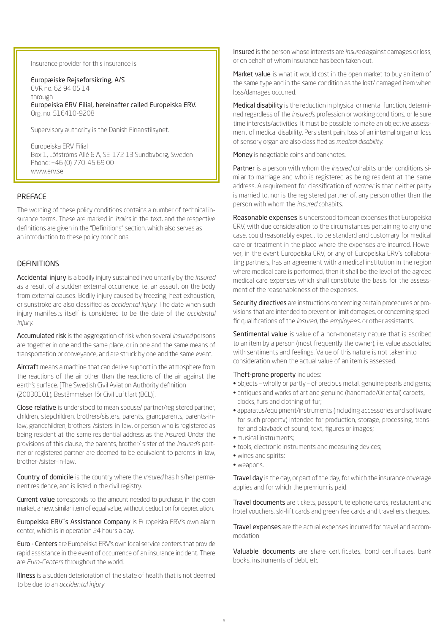Insurance provider for this insurance is:

Europæiske Rejseforsikring, A/S CVR no. 62 94 05 14 through Europeiska ERV Filial, hereinafter called Europeiska ERV. Org. no. 516410-9208

Supervisory authority is the Danish Finanstilsynet.

Europeiska ERV Filial Box 1, Löfströms Allé 6 A, SE-172 13 Sundbyberg, Sweden Phone: +46 (0) 770-45 69 00 www.erv.se

#### PREFACE

The wording of these policy conditions contains a number of technical insurance terms. These are marked in *italics* in the text, and the respective definitions are given in the "Definitions" section, which also serves as an introduction to these policy conditions.

#### DEFINITIONS

Accidental injury is a bodily injury sustained involuntarily by the *insured* as a result of a sudden external occurrence, i.e. an assault on the body from external causes. Bodily injury caused by freezing, heat exhaustion, or sunstroke are also classified as *accidental injury*. The date when such injury manifests itself is considered to be the date of the *accidental injury.*

Accumulated risk is the aggregation of risk when several *insured* persons are together in one and the same place, or in one and the same means of transportation or conveyance, and are struck by one and the same event.

Aircraft means a machine that can derive support in the atmosphere from the reactions of the air other than the reactions of the air against the earth's surface. [The Swedish Civil Aviation Authority definition (20030101), Bestämmelser för Civil Luftfart (BCL)].

Close relative is understood to mean spouse/ partner/registered partner, children, stepchildren, brothers/sisters, parents, grandparents, parents-inlaw, grandchildren, brothers-/sisters-in-law, or person who is registered as being resident at the same residential address as the *insured*. Under the provisions of this clause, the parents, brother/ sister of the *insured*'s partner or registered partner are deemed to be equivalent to parents-in-law, brother-/sister-in-law.

Country of domicile is the country where the *insured* has his/her permanent residence, and is listed in the civil registry.

Current value corresponds to the amount needed to purchase, in the open market, a new, similar item of equal value, without deduction for depreciation.

Europeiska ERV´s Assistance Company is Europeiska ERV's own alarm center, which is in operation 24 hours a day.

Euro - Centers are Europeiska ERV's own local service centers that provide rapid assistance in the event of occurrence of an insurance incident. There are *Euro-Centers* throughout the world.

Illness is a sudden deterioration of the state of health that is not deemed to be due to an *accidental injury*.

Insured is the person whose interests are *insured* against damages or loss, or on behalf of whom insurance has been taken out.

Market value is what it would cost in the open market to buy an item of the same type and in the same condition as the lost/ damaged item when loss/damages occurred.

Medical disability is the reduction in physical or mental function, determined regardless of the *insured*'s profession or working conditions, or leisure time interests/activities. It must be possible to make an objective assessment of medical disability. Persistent pain, loss of an internal organ or loss of sensory organ are also classified as *medical disability.*

Money is negotiable coins and banknotes.

Partner is a person with whom the *insured* cohabits under conditions similar to marriage and who is registered as being resident at the same address. A requirement for classification of *partner* is that neither party is married to, nor is the registered partner of, any person other than the person with whom the *insured* cohabits.

Reasonable expenses is understood to mean expenses that Europeiska ERV, with due consideration to the circumstances pertaining to any one case, could reasonably expect to be standard and customary for medical care or treatment in the place where the expenses are incurred. However, in the event Europeiska ERV, or any of Europeiska ERV's collaborating partners, has an agreement with a medical institution in the region where medical care is performed, then it shall be the level of the agreed medical care expenses which shall constitute the basis for the assessment of the reasonableness of the expenses.

Security directives are instructions concerning certain procedures or provisions that are intended to prevent or limit damages, or concerning specific qualifications of the *insured,* the *employees,* or other assistants.

Sentimental value is value of a non-monetary nature that is ascribed to an item by a person (most frequently the owner), i.e. value associated with sentiments and feelings. Value of this nature is not taken into consideration when the actual value of an item is assessed.

#### Theft-prone property includes:

- objects wholly or partly of precious metal, genuine pearls and gems;
- antiques and works of art and genuine (handmade/Oriental) carpets, clocks, furs and clothing of fur;
- apparatus/equipment/instruments (including accessories and software for such property) intended for production, storage, processing, transfer and playback of sound, text, figures or images;
- musical instruments;
- tools, electronic instruments and measuring devices;
- wines and spirits;
- weapons.

Travel day is the day, or part of the day, for which the insurance coverage applies and for which the premium is paid.

Travel documents are tickets, passport, telephone cards, restaurant and hotel vouchers, ski-lift cards and green fee cards and travellers cheques.

Travel expenses are the actual expenses incurred for travel and accommodation.

Valuable documents are share certificates, bond certificates, bank books, instruments of debt, etc.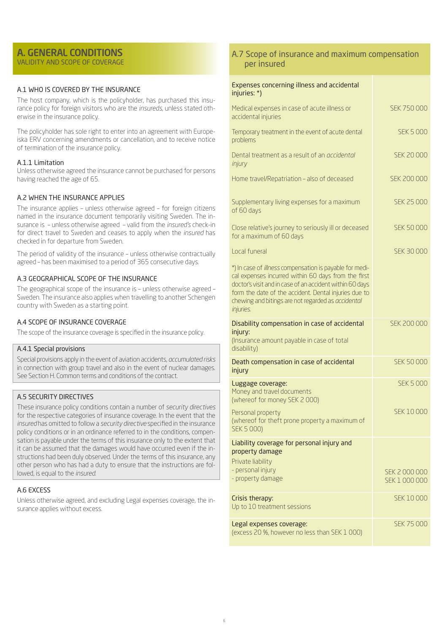#### A. GENERAL CONDITIONS VALIDITY AND SCOPE OF COVERAGE

#### A.1 WHO IS COVERED BY THE INSURANCE

The host company, which is the policyholder, has purchased this insurance policy for foreign visitors who are the *insureds*, unless stated otherwise in the insurance policy.

The policyholder has sole right to enter into an agreement with Europeiska ERV concerning amendments or cancellation, and to receive notice of termination of the insurance policy.

#### A.1.1 Limitation

Unless otherwise agreed the insurance cannot be purchased for persons having reached the age of 65.

#### A.2 WHEN THE INSURANCE APPLIES

The insurance applies – unless otherwise agreed – for foreign citizens named in the insurance document temporarily visiting Sweden. The insurance is – unless otherwise agreed – valid from the *insured's* check-in for direct travel to Sweden and ceases to apply when the *insured* has checked in for departure from Sweden.

The period of validity of the insurance – unless otherwise contractually agreed – has been maximised to a period of 365 consecutive days.

#### A.3 GEOGRAPHICAL SCOPE OF THE INSURANCE

The geographical scope of the insurance is – unless otherwise agreed – Sweden. The insurance also applies when travelling to another Schengen country with Sweden as a starting point.

#### A.4 SCOPE OF INSURANCE COVERAGE

The scope of the insurance coverage is specified in the insurance policy.

#### A.4.1 Special provisions

Special provisions apply in the event of aviation accidents, *accumulated risks* in connection with group travel and also in the event of nuclear damages. See Section H. Common terms and conditions of the contract.

#### A.5 SECURITY DIRECTIVES

These insurance policy conditions contain a number of *security directives*  for the respective categories of insurance coverage. In the event that the *insured* has omitted to follow a *security directive* specified in the insurance policy conditions or in an ordinance referred to in the conditions, compensation is payable under the terms of this insurance only to the extent that it can be assumed that the damages would have occurred even if the instructions had been duly observed. Under the terms of this insurance, any other person who has had a duty to ensure that the instructions are followed, is equal to the *insured*.

#### A.6 EXCESS

Unless otherwise agreed, and excluding Legal expenses coverage, the insurance applies without excess.

### A.7 Scope of insurance and maximum compensation per insured

| Expenses concerning illness and accidental<br>injuries: *)                                                                                                                                                                                                                                                    |                                |
|---------------------------------------------------------------------------------------------------------------------------------------------------------------------------------------------------------------------------------------------------------------------------------------------------------------|--------------------------------|
| Medical expenses in case of acute illness or<br>accidental injuries                                                                                                                                                                                                                                           | <b>SFK 750 000</b>             |
| Temporary treatment in the event of acute dental<br>problems                                                                                                                                                                                                                                                  | <b>SEK 5 000</b>               |
| Dental treatment as a result of an <i>occidental</i><br>injury                                                                                                                                                                                                                                                | <b>SEK 20 000</b>              |
| Home travel/Repatriation - also of deceased                                                                                                                                                                                                                                                                   | <b>SEK 200 000</b>             |
| Supplementary living expenses for a maximum<br>of 60 days                                                                                                                                                                                                                                                     | <b>SEK 25 000</b>              |
| Close relative's journey to seriously ill or deceased<br>for a maximum of 60 days                                                                                                                                                                                                                             | <b>SEK 50 000</b>              |
| Local funeral                                                                                                                                                                                                                                                                                                 | <b>SEK 30 000</b>              |
| *) In case of <i>illness</i> compensation is payable for medi-<br>cal expenses incurred within 60 days from the first<br>doctor's visit and in case of an accident within 60 days<br>form the date of the accident. Dental injuries due to<br>chewing and bitings are not regarded as accidental<br>injuries. |                                |
| Disability compensation in case of accidental<br>injury:<br>(Insurance amount payable in case of total<br>disability)                                                                                                                                                                                         | <b>SEK 200 000</b>             |
| Death compensation in case of accidental<br>injury                                                                                                                                                                                                                                                            | <b>SEK 50 000</b>              |
| Luggage coverage:<br>Money and travel documents<br>(whereof for money SEK 2000)                                                                                                                                                                                                                               | <b>SEK 5 000</b>               |
| Personal property<br>(whereof for theft prone property a maximum of<br><b>SEK 5 000)</b>                                                                                                                                                                                                                      | SEK 10 000                     |
| Liability coverage for personal injury and<br>property damage                                                                                                                                                                                                                                                 |                                |
| Private liability<br>- personal injury<br>- property damage                                                                                                                                                                                                                                                   | SEK 2 000 000<br>SEK 1 000 000 |
| Crisis therapy:<br>Up to 10 treatment sessions                                                                                                                                                                                                                                                                | SFK 10000                      |
| Legal expenses coverage:<br>(excess 20 %, however no less than SEK 1 000)                                                                                                                                                                                                                                     | <b>SEK 75 000</b>              |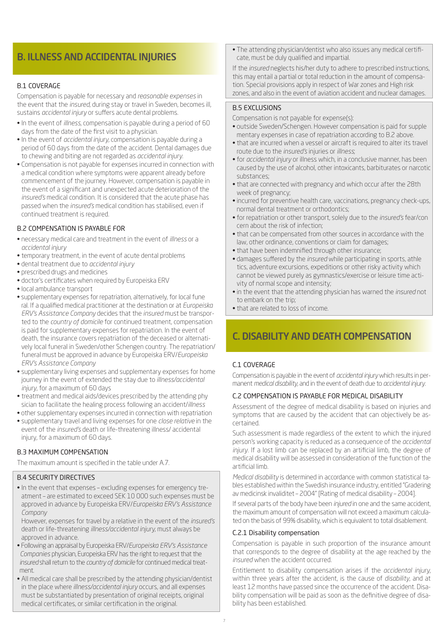## B. ILLNESS AND ACCIDENTAL INJURIES

#### B.1 COVERAGE

Compensation is payable for necessary and *reasonable expenses* in the event that the *insured*, during stay or travel in Sweden, becomes ill, sustains *accidental injury* or suffers acute dental problems.

- In the event of *illness*, compensation is payable during a period of 60 days from the date of the first visit to a physician.
- In the event of *accidental injury,* compensation is payable during a period of 60 days from the date of the accident. Dental damages due to chewing and biting are not regarded as *accidental injury*.
- Compensation is not payable for expenses incurred in connection with a medical condition where symptoms were apparent already before commencement of the journey. However, compensation is payable in the event of a significant and unexpected acute deterioration of the *insured's* medical condition. It is considered that the acute phase has passed when the *insured's* medical condition has stabilised, even if continued treatment is required.

#### B.2 COMPENSATION IS PAYABLE FOR

- necessary medical care and treatment in the event of *illness* or a *accidental injury*
- temporary treatment, in the event of acute dental problems
- dental treatment due to *accidental injury*
- prescribed drugs and medicines
- doctor's certificates when required by Europeiska ERV
- local ambulance transport
- supplementary expenses for repatriation, alternatively, for local fune ral. If a qualified medical practitioner at the destination or at *Europeiska ERV's Assistance Company* decides that the *insured* must be transported to the *country of domicile* for continued treatment, compensation is paid for supplementary expenses for repatriation. In the event of death, the insurance covers repatriation of the deceased or alternatively local funeral in Sweden/other Schengen country. The repatriation/ funeral must be approved in advance by Europeiska ERV/*Europeiska ERV's Assistance Company*
- supplementary living expenses and supplementary expenses for home journey in the event of extended the stay due to *illness/accidental injury*, for a maximum of 60 days
- treatment and medical aids/devices prescribed by the attending phy sician to facilitate the healing process following an accident/*illness*
- other supplementary expenses incurred in connection with repatriation • supplementary travel and living expenses for one *close relative* in the event of the *insured's* death or life-threatening illness/ accidental injury, for a maximum of 60 days.

#### B.3 MAXIMUM COMPENSATION

The maximum amount is specified in the table under A.7.

#### B.4 SECURITY DIRECTIVES

- In the event that expenses excluding expenses for emergency treatment – are estimated to exceed SEK 10 000 such expenses must be approved in advance by Europeiska ERV/*Europeiska ERV's Assistance Company*
- However, expenses for travel by a relative in the event of the *insured's* death or life-threatening *illness/accidental injury,* must always be approved in advance.
- Following an appraisal by Europeiska ERV/*Europeiska ERV's Assistance Companies* physician, Europeiska ERV has the right to request that the *insured* shall return to the *country of domicile* for continued medical treat ment.
- All medical care shall be prescribed by the attending physician/dentist in the place where *illness/accidental injury* occurs, and all expenses must be substantiated by presentation of original receipts, original medical certificates, or similar certification in the original.

• The attending physician/dentist who also issues any medical certificate, must be duly qualified and impartial.

If the *insured* neglects his/her duty to adhere to prescribed instructions, this may entail a partial or total reduction in the amount of compensation. Special provisions apply in respect of War zones and High risk zones, and also in the event of aviation accident and nuclear damages.

#### B.5 EXCLUSIONS

Compensation is not payable for expense(s):

- outside Sweden/Schengen. However compensation is paid for supple mentary expenses in case of repatriation according to B.2 above.
- that are incurred when a vessel or aircraft is required to alter its travel route due to the *insured's* injuries or *illness*;
- for *accidental injury* or illness which, in a conclusive manner, has been caused by the use of alcohol, other intoxicants, barbiturates or narcotic substances;
- that are connected with pregnancy and which occur after the 28th week of pregnancy;
- incurred for preventive health care, vaccinations, pregnancy check-ups, normal dental treatment or orthodontics;
- for repatriation or other transport, solely due to the *insured's* fear/con cern about the risk of infection;
- that can be compensated from other sources in accordance with the law, other ordinance, conventions or claim for damages;
- that have been indemnified through other insurance;
- damages suffered by the *insured* while participating in sports, athle tics, adventure excursions, expeditions or other risky activity which cannot be viewed purely as gymnastics/exercise or leisure time activity of normal scope and intensity;
- in the event that the attending physician has warned the *insured* not to embark on the trip;
- that are related to loss of income.

## C. DISABILITY AND DEATH COMPENSATION

#### C.1 COVERAGE

Compensation is payable in the event of *accidental injury* which results in permanent *medical disability*, and in the event of death due to *accidental injury.*

#### C.2 COMPENSATION IS PAYABLE FOR MEDICAL DISABILITY

Assessment of the degree of medical disability is based on injuries and symptoms that are caused by the accident that can objectively be ascertained.

Such assessment is made regardless of the extent to which the injured person's working capacity is reduced as a consequence of the *accidental injury.* If a lost limb can be replaced by an artificial limb, the degree of medical disability will be assessed in consideration of the function of the artificial limb.

*Medical disability* is determined in accordance with common statistical tables established within the Swedish insurance industry, entitled "Gradering av medicinsk invaliditet – 2004" [Rating of medical disability – 2004].

If several parts of the body have been *injured* in one and the same accident, the maximum amount of compensation will not exceed a maximum calculated on the basis of 99% disability, which is equivalent to total disablement.

#### C.2.1 Disability compensation

Compensation is payable in such proportion of the insurance amount that corresponds to the degree of disability at the age reached by the *insured* when the accident occurred.

Entitlement to disability compensation arises if the *accidental injury,*  within three years after the accident, is the cause of *disability*, and at least 12 months have passed since the occurrence of the accident. Disability compensation will be paid as soon as the definitive degree of disability has been established.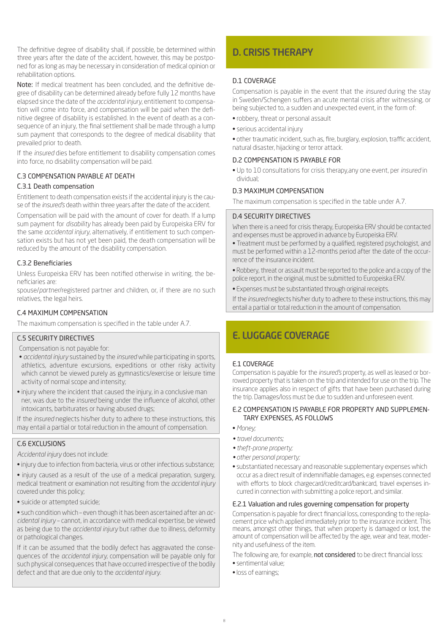The definitive degree of disability shall, if possible, be determined within three years after the date of the accident, however, this may be postponed for as long as may be necessary in consideration of medical opinion or rehabilitation options.

Note: If medical treatment has been concluded, and the definitive degree of disability can be determined already before fully 12 months have elapsed since the date of the *accidental injury*, entitlement to compensation will come into force, and compensation will be paid when the definitive degree of disability is established. In the event of death as a consequence of an injury, the final settlement shall be made through a lump sum payment that corresponds to the degree of medical disability that prevailed prior to death.

If the *insured* dies before entitlement to disability compensation comes into force, no disability compensation will be paid.

#### C.3 COMPENSATION PAYABLE AT DEATH

#### C.3.1 Death compensation

Entitlement to death compensation exists if the accidental injury is the cause of the *insured's* death within three years after the date of the accident.

Compensation will be paid with the amount of cover for death. If a lump sum payment for *disability* has already been paid by Europeiska ERV for the same *accidental injury*, alternatively, if entitlement to such compensation exists but has not yet been paid, the death compensation will be reduced by the amount of the disability compensation.

#### C.3.2 Beneficiaries

Unless Europeiska ERV has been notified otherwise in writing, the beneficiaries are:

spouse/*partner*/registered partner and children, or, if there are no such relatives, the legal heirs.

#### C.4 MAXIMUM COMPENSATION

The maximum compensation is specified in the table under A.7.

#### C.5 SECURITY DIRECTIVES

Compensation is not payable for:

- • *accidental injury* sustained by the *insured* while participating in sports, athletics, adventure excursions, expeditions or other risky activity which cannot be viewed purely as gymnastics/exercise or leisure time activity of normal scope and intensity;
- injury where the incident that caused the injury, in a conclusive man ner, was due to the *insured* being under the influence of alcohol, other intoxicants, barbiturates or having abused drugs;

If the *insured* neglects his/her duty to adhere to these instructions, this may entail a partial or total reduction in the amount of compensation.

#### C.6 EXCLUSIONS

*Accidental injury* does not include:

- injury due to infection from bacteria, virus or other infectious substance;
- injury caused as a result of the use of a medical preparation, surgery, medical treatment or examination not resulting from the *accidental injury*  covered under this policy;
- suicide or attempted suicide;

• such condition which – even though it has been ascertained after an *accidental injury* – cannot, in accordance with medical expertise, be viewed as being due to the *accidental injury* but rather due to illness, deformity or pathological changes.

If it can be assumed that the bodily defect has aggravated the consequences of the *accidental injury,* compensation will be payable only for such physical consequences that have occurred irrespective of the bodily defect and that are due only to the *accidental injury.*

## D. CRISIS THERAPY

#### D.1 COVERAGE

Compensation is payable in the event that the *insured* during the stay in Sweden/Schengen suffers an acute mental crisis after witnessing, or being subjected to, a sudden and unexpected event, in the form of:

- robbery, threat or personal assault
- serious accidental injury

• other traumatic incident, such as, fire, burglary, explosion, traffic accident, natural disaster, hijacking or terror attack.

#### D.2 COMPENSATION IS PAYABLE FOR

• Up to 10 consultations for crisis therapy,any one event, per *insured* in dividual;

#### D.3 MAXIMUM COMPENSATION

The maximum compensation is specified in the table under A.7.

#### D.4 SECURITY DIRECTIVES

When there is a need for crisis therapy, Europeiska ERV should be contacted and expenses must be approved in advance by Europeiska ERV.

• Treatment must be performed by a qualified, registered psychologist, and must be performed within a 12-months period after the date of the occurrence of the insurance incident.

- Robbery, threat or assault must be reported to the police and a copy of the police report, in the original, must be submitted to Europeiska ERV.
- Expenses must be substantiated through original receipts.

If the *insured* neglects his/her duty to adhere to these instructions, this may entail a partial or total reduction in the amount of compensation.

## E. LUGGAGE COVERAGE

#### E.1 COVERAGE

Compensation is payable for the *insured's* property, as well as leased or borrowed property that is taken on the trip and intended for use on the trip. The insurance applies also in respect of gifts that have been purchased during the trip. Damages/loss must be due to sudden and unforeseen event.

#### E.2 COMPENSATION IS PAYABLE FOR PROPERTY AND SUPPLEMEN-TARY EXPENSES, AS FOLLOWS

- *Money;*
- *travel documents;*
- *theft-prone property;*
- *other personal property;*
- substantiated necessary and reasonable supplementary expenses which occur as a direct result of indemnifiable damages, e.g. expenses connected with efforts to block chargecard/creditcard/bankcard, travel expenses incurred in connection with submitting a police report, and similar.

#### E.2.1 Valuation and rules governing compensation for property

Compensation is payable for direct financial loss, corresponding to the replacement price which applied immediately prior to the insurance incident. This means, amongst other things, that when property is damaged or lost, the amount of compensation will be affected by the age, wear and tear, modernity and usefulness of the item.

The following are, for example, not considered to be direct financial loss:

- sentimental value;
- loss of earnings;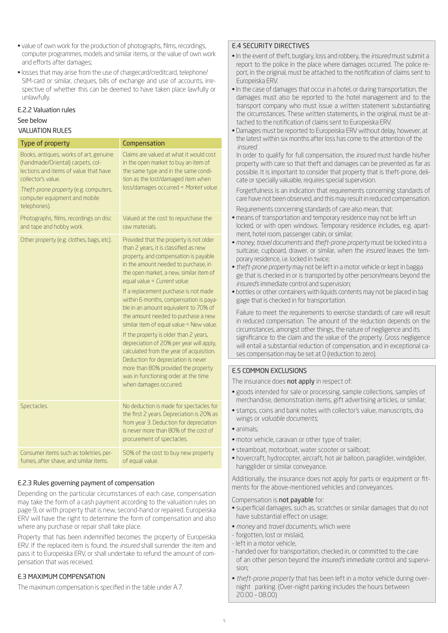- value of own work for the production of photographs, films, recordings, computer programmes, models and similar items, or the value of own work and efforts after damages;
- losses that may arise from the use of chargecard/creditcard, telephone/ SIM-card or similar, cheques, bills of exchange and use of accounts, irrespective of whether this can be deemed to have taken place lawfully or unlawfully.

#### E.2.2 Valuation rules

#### See below

#### VALUATION RULES

| Type of property                                                                                                                                                                                                                     | Compensation                                                                                                                                                                                                                                                                                                                                                                                                                                                                                                                                                                                                                                                                                                                                  |
|--------------------------------------------------------------------------------------------------------------------------------------------------------------------------------------------------------------------------------------|-----------------------------------------------------------------------------------------------------------------------------------------------------------------------------------------------------------------------------------------------------------------------------------------------------------------------------------------------------------------------------------------------------------------------------------------------------------------------------------------------------------------------------------------------------------------------------------------------------------------------------------------------------------------------------------------------------------------------------------------------|
| Books, antiques, works of art, genuine<br>(handmade/Oriental) carpets, col-<br>lections and items of value that have<br>collector's value.<br>Theft-prone property (e.g. computers,<br>computer equipment and mobile<br>telephones). | Claims are valued at what it would cost<br>in the open market to buy an item of<br>the same type and in the same condi-<br>tion as the lost/damaged item when<br>loss/damages occurred = Market value.                                                                                                                                                                                                                                                                                                                                                                                                                                                                                                                                        |
| Photographs, films, recordings on disc<br>and tape and hobby work.                                                                                                                                                                   | Valued at the cost to repurchase the<br>raw materials.                                                                                                                                                                                                                                                                                                                                                                                                                                                                                                                                                                                                                                                                                        |
| Other property (e.g. clothes, bags, etc).                                                                                                                                                                                            | Provided that the property is not older<br>than 2 years, it is classified as new<br>property, and compensation is payable<br>in the amount needed to purchase, in<br>the open market, a new, similar item of<br>equal value = Current value.<br>If a replacement purchase is not made<br>within 6 months, compensation is paya-<br>ble in an amount equivalent to 70% of<br>the amount needed to purchase a new<br>similar item of equal value = New value.<br>If the property is older than 2 years,<br>depreciation of 20% per year will apply,<br>calculated from the year of acquisition.<br>Deduction for depreciation is never<br>more than 80% provided the property<br>was in functioning order at the time<br>when damages occurred. |
| Spectacles.                                                                                                                                                                                                                          | No deduction is made for spectacles for<br>the first 2 years. Depreciation is 20% as<br>from year 3. Deduction for depreciation<br>is never more than 80% of the cost of<br>procurement of spectacles.                                                                                                                                                                                                                                                                                                                                                                                                                                                                                                                                        |
| Consumer items such as toiletries, per-<br>fumes, after shave, and similar items.                                                                                                                                                    | 50% of the cost to buy new property<br>of equal value.                                                                                                                                                                                                                                                                                                                                                                                                                                                                                                                                                                                                                                                                                        |

#### E.2.3 Rules governing payment of compensation

Depending on the particular circumstances of each case, compensation may take the form of a cash payment according to the valuation rules on page 9, or with property that is new, second-hand or repaired. Europeiska ERV will have the right to determine the form of compensation and also where any purchase or repair shall take place.

Property that has been indemnified becomes the property of Europeiska ERV. If the replaced item is found, the *insured* shall surrender the item and pass it to Europeiska ERV, or shall undertake to refund the amount of compensation that was received.

#### E.3 MAXIMUM COMPENSATION

The maximum compensation is specified in the table under A.7.

#### E.4 SECURITY DIRECTIVES

- In the event of theft, burglary, loss and robbery, the *insured* must submit a report to the police in the place where damages occurred. The police report, in the original, must be attached to the notification of claims sent to Europeiska ERV.
- In the case of damages that occur in a hotel, or during transportation, the damages must also be reported to the hotel management and to the transport company who must issue a written statement substantiating the circumstances. These written statements, in the original, must be attached to the notification of claims sent to Europeiska ERV.
- Damages must be reported to Europeiska ERV without delay, however, at the latest within six months after loss has come to the attention of the *insured*.

In order to qualify for full compensation, the *insured* must handle his/her property with care so that theft and damages can be prevented as far as possible. It is important to consider that property that is theft-prone, delicate or specially valuable, requires special supervision.

Forgetfulness is an indication that requirements concerning standards of care have not been observed, and this may result in reduced compensation.

Requirements concerning standards of care also mean, that:

- means of transportation and temporary residence may not be left un locked, or with open windows. Temporary residence includes, e.g. apartment, hotel room, passenger cabin, or similar;
- • *money, travel documents* and *theft-prone property* must be locked into a suitcase, cupboard, drawer, or similar, when the *insured* leaves the temporary residence, i.e. locked in twice;
- *theft-prone property* may not be left in a motor vehicle or kept in bagga ge that is checked in or is transported by other person/means beyond the *insured's* immediate control and supervision;
- bottles or other containers with liquids contents may not be placed in bag gage that is checked in for transportation.

Failure to meet the requirements to exercise standards of care will result in reduced compensation. The amount of the reduction depends on the circumstances, amongst other things, the nature of negligence and its significance to the claim and the value of the property. Gross negligence will entail a substantial reduction of compensation, and in exceptional cases compensation may be set at 0 (reduction to zero).

#### E.5 COMMON EXCLUSIONS

The insurance does not apply in respect of:

- goods intended for sale or processing, sample collections, samples of merchandise, demonstration items, gift advertising articles, or similar;
- stamps, coins and bank notes with collector's value, manuscripts, dra wings or *valuable documents*;
- animals;
- motor vehicle, caravan or other type of trailer;
- steamboat, motorboat, water scooter or sailboat;
- hovercraft, hydrocopter, aircraft, hot air balloon, paraglider, windglider, hangglider or similar conveyance.

Additionally, the insurance does not apply for parts or equipment or fitments for the above-mentioned vehicles and conveyances.

Compensation is not payable for:

- superficial damages, such as, scratches or similar damages that do not have substantial effect on usage;
- *money* and *travel documents*, which were
- forgotten, lost or mislaid,
- left in a motor vehicle,
- handed over for transportation, checked in, or committed to the care of an other person beyond the *insured's* immediate control and supervision;
- *theft-prone property* that has been left in a motor vehicle during overnight parking. (Over-night parking includes the hours between 20.00 – 08.00)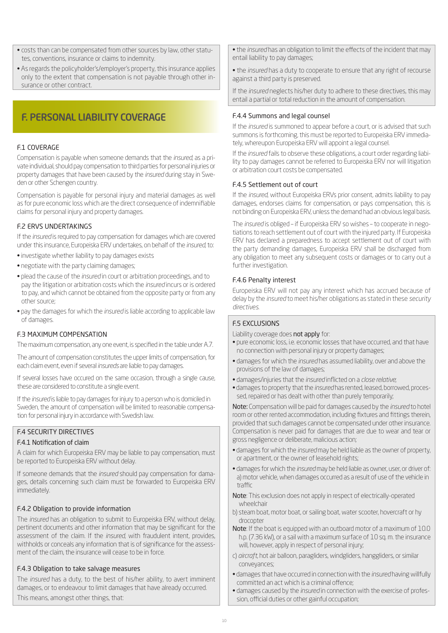- costs than can be compensated from other sources by law, other statutes, conventions, insurance or claims to indemnity.
- As regards the policyholder's/employer's property, this insurance applies only to the extent that compensation is not payable through other insurance or other contract.

## F. PERSONAL LIABILITY COVERAGE

#### F.1 COVERAGE

Compensation is payable when someone demands that the *insured*, as a private individual, should pay compensation to third parties for personal injuries or property damages that have been caused by the *insured* during stay in Sweden or other Schengen country.

Compensation is payable for personal injury and material damages as well as for pure economic loss which are the direct consequence of indemnifiable claims for personal injury and property damages.

#### F.2 ERVS UNDERTAKINGS

If the *insured* is required to pay compensation for damages which are covered under this insurance, Europeiska ERV undertakes, on behalf of the *insured*, to:

- investigate whether liability to pay damages exists
- negotiate with the party claiming damages;
- plead the cause of the *insured* in court or arbitration proceedings, and to pay the litigation or arbitration costs which the *insured* incurs or is ordered to pay, and which cannot be obtained from the opposite party or from any other source;
- pay the damages for which the *insured* is liable according to applicable law of damages.

#### F.3 MAXIMUM COMPENSATION

The maximum compensation, any one event, is specified in the table under A.7.

The amount of compensation constitutes the upper limits of compensation, for each claim event, even if several *insureds* are liable to pay damages.

If several losses have occured on the same occasion, through a single cause, these are considered to constitute a single event.

If the *insured* is liable to pay damages for injury to a person who is domiciled in Sweden, the amount of compensation will be limited to reasonable compensation for personal injury in accordance with Swedish law.

#### F.4 SECURITY DIRECTIVES

#### F.4.1 Notification of claim

A claim for which Europeiska ERV may be liable to pay compensation, must be reported to Europeiska ERV without delay.

If someone demands that the *insured* should pay compensation for damages, details concerning such claim must be forwarded to Europeiska ERV immediately.

#### F.4.2 Obligation to provide information

The *insured* has an obligation to submit to Europeiska ERV, without delay, pertinent documents and other information that may be significant for the assessment of the claim. If the *insured*, with fraudulent intent, provides, withholds or conceals any information that is of significance for the assessment of the claim, the insurance will cease to be in force.

#### F.4.3 Obligation to take salvage measures

The *insured* has a duty, to the best of his/her ability, to avert imminent damages, or to endeavour to limit damages that have already occurred. This means, amongst other things, that:

• the *insured* has an obligation to limit the effects of the incident that may entail liability to pay damages;

• the *insured* has a duty to cooperate to ensure that any right of recourse against a third party is preserved.

If the *insured* neglects his/her duty to adhere to these directives, this may entail a partial or total reduction in the amount of compensation.

#### F.4.4 Summons and legal counsel

If the *insured* is summoned to appear before a court, or is advised that such summons is forthcoming, this must be reported to Europeiska ERV immediately, whereupon Europeiska ERV will appoint a legal counsel.

If the *insured* fails to observe these obligations, a court order regarding liability to pay damages cannot be referred to Europeiska ERV nor will litigation or arbitration court costs be compensated.

#### F.4.5 Settlement out of court

If the *insured*, without Europeiska ERVs prior consent, admits liability to pay damages, endorses claims for compensation, or pays compensation, this is not binding on Europeiska ERV, unless the demand had an obvious legal basis.

The *insured* is obliged – if Europeiska ERV so wishes – to cooperate in negotiations to reach settlement out of court with the injured party. If Europeiska ERV has declared a preparedness to accept settlement out of court with the party demanding damages, Europeiska ERV shall be discharged from any obligation to meet any subsequent costs or damages or to carry out a further investigation.

#### F.4.6 Penalty interest

Europeiska ERV will not pay any interest which has accrued because of delay by the *insured* to meet his/her obligations as stated in these *security directives*.

#### F.5 EXCLUSIONS

Liability coverage does not apply for:

- pure economic loss, i.e. economic losses that have occurred, and that have no connection with personal injury or property damages;
- damages for which the *insured* has assumed liability, over and above the provisions of the law of damages;
- damages/injuries that the *insured* inflicted on a *close relative*;
- damages to property that the *insured* has rented, leased, borrowed, processed, repaired or has dealt with other than purely temporarily;

Note: Compensation will be paid for damages caused by the *insured* to hotel room or other rented accommodation, including fixtures and fittings therein, provided that such damages cannot be compensated under other insurance. Compensation is never paid for damages that are due to wear and tear or gross negligence or deliberate, malicious action;

- damages for which the *insured* may be held liable as the owner of property, or apartment, or the owner of leasehold rights;
- damages for which the *insured* may be held liable as owner, user, or driver of: a) motor vehicle, when damages occurred as a result of use of the vehicle in traffic
- Note: This exclusion does not apply in respect of electrically-operated wheelchair
- b) steam boat, motor boat, or sailing boat, water scooter, hovercraft or hy drocopter
- Note: If the boat is equipped with an outboard motor of a maximum of 10.0 h.p. (7.36 kW), or a sail with a maximum surface of 10 sq. m. the insurance will, however, apply in respect of personal injury;
- c) *aircraft*, hot air balloon, paragliders, windgliders, hanggliders, or similar conveyances;
- damages that have occurred in connection with the *insured* having willfully committed an act which is a criminal offence;
- damages caused by the *insured* in connection with the exercise of profession, official duties or other gainful occupation;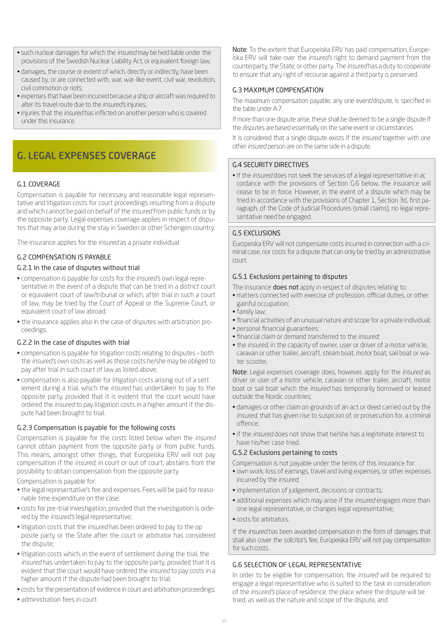- such nuclear damages for which the *insured* may be held liable under the provisions of the Swedish Nuclear Liability Act, or equivalent foreign law;
- damages, the course or extent of which, directly or indirectly, have been caused by, or are connected with, war, war-like event, civil war, revolution, civil commotion or riots;
- expenses that have been incurred because a ship or aircraft was required to alter its travel route due to the *insured's* injuries;
- injuries that the *insured* has inflicted on another person who is covered under this insurance.

## G. LEGAL EXPENSES COVERAGE

#### G.1 COVERAGE

Compensation is payable for necessary and reasonable legal representative and litigation costs for court proceedings resulting from a dispute and which cannot be paid on behalf of the *insured* from public funds or by the opposite party. Legal expenses coverage applies in respect of disputes that may arise during the stay in Sweden or other Schengen country.

The insurance applies for the *insured* as a private individual.

#### G.2 COMPENSATION IS PAYABLE

#### G.2.1 In the case of disputes without trial

- compensation is payable for costs for the *insured's* own legal representative in the event of a dispute that can be tried in a district court or equivalent court of law/tribunal or which, after trial in such a court of law, may be tried by the Court of Appeal or the Supreme Court, or equivalent court of law abroad;
- the insurance applies also in the case of disputes with arbitration proceedings.

#### G.2.2 In the case of disputes with trial

- compensation is payable for litigation costs relating to disputes both the *insured's* own costs as well as those costs he/she may be obliged to pay after trial in such court of law as listed above;
- compensation is also payable for litigation costs arising out of a sett lement during a trial, which the *insured* has undertaken to pay to the opposite party, provided that it is evident that the court would have ordered the *insured* to pay litigation costs in a higher amount if the dispute had been brought to trial.

#### G.2.3 Compensation is payable for the following costs

Compensation is payable for the costs listed below when the *insured* cannot obtain payment from the opposite party or from public funds. This means, amongst other things, that Europeiska ERV will not pay compensation if the *insured*, in court or out of court, abstains from the possibility to obtain compensation from the opposite party.

Compensation is payable for:

- the legal representative's fee and expenses. Fees will be paid for reasonable time expenditure on the case;
- costs for pre-trial investigation, provided that the investigation is ordered by the *insured's* legal representative;
- litigation costs that the *insured* has been ordered to pay to the op posite party or the State after the court or arbitrator has considered the dispute;
- litigation costs which, in the event of settlement during the trial, the *insured* has undertaken to pay to the opposite party, provided that it is evident that the court would have ordered the *insured* to pay costs in a higher amount if the dispute had been brought to trial;
- costs for the presentation of evidence in court and arbitration proceedings;
- administration fees in court.

Note: To the extent that Europeiska ERV has paid compensation, Europeiska ERV will take over the *insured's* right to demand payment from the counterparty, the State, or other party. The *insured* has a duty to cooperate to ensure that any right of recourse against a third party is preserved.

#### G.3 MAXIMUM COMPENSATION

The maximum compensation payable, any one event/dispute, is specified in the table under A.7.

If more than one dispute arise, these shall be deemed to be a single dispute if the disputes are based essentially on the same event or circumstances.

It is considered that a single dispute exists if the *insured* together with one other *insured* person are on the same side in a dispute.

#### G.4 SECURITY DIRECTIVES

• If the *insured* does not seek the services of a legal representative in ac cordance with the provisions of Section G.6 below, the insurance will cease to be in force. However, in the event of a dispute which may be tried in accordance with the provisions of Chapter 1, Section 3d, first paragraph, of the Code of Judicial Procedures (small claims), no legal representative need be engaged.

#### G.5 EXCLUSIONS

Europeiska ERV will not compensate costs incurred in connection with a criminal case, nor costs for a dispute that can only be tried by an administrative court.

#### G.5.1 Exclusions pertaining to disputes

The insurance **does not** apply in respect of disputes relating to:

- matters connected with exercise of profession, official duties, or other gainful occupation;
- family law;
- financial activities of an unusual nature and scope for a private individual;
- personal financial guarantees;
- financial claim or demand transferred to the *insured*;
- the *insured*, in the capacity of owner, user or driver of a motor vehicle, caravan or other trailer, aircraft, steam boat, motor boat, sail boat or water scooter,

Note: Legal expenses coverage does, however, apply for the *insured* as driver or user of a motor vehicle, caravan or other trailer, aircraft, motor boat or sail boat which the *insured* has temporarily borrowed or leased outside the Nordic countries;

- damages or other claim on grounds of an act or deed carried out by the *insured*, that has given rise to suspicion of, or prosecution for, a criminal offence;
- if the *insured* does not show that he/she has a legitimate interest to have his/her case tried.

#### G.5.2 Exclusions pertaining to costs

Compensation is not payable under the terms of this insurance for:

- own work, loss of earnings, travel and living expenses, or other expenses incurred by the *insured*;
- implementation of judgement, decisions or contracts;
- additional expenses which may arise if the *insured* engages more than one legal representative, or changes legal representative;
- costs for arbitrators.

If the *insured* has been awarded compensation in the form of damages that shall also cover the solicitor's fee, Europeiska ERV will not pay compensation for such costs.

#### G.6 SELECTION OF LEGAL REPRESENTATIVE

In order to be eligible for compensation, the *insured* will be required to engage a legal representative who is suited to the task in consideration of the *insured's* place of residence, the place where the dispute will be tried, as well as the nature and scope of the dispute, and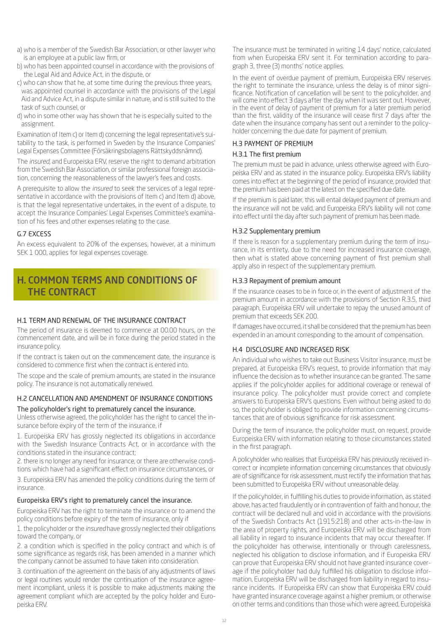- a) who is a member of the Swedish Bar Association, or other lawyer who is an employee at a public law firm, or
- b) who has been appointed counsel in accordance with the provisions of the Legal Aid and Advice Act, in the dispute, or
- c) who can show that he, at some time during the previous three years, was appointed counsel in accordance with the provisions of the Legal Aid and Advice Act, in a dispute similar in nature, and is still suited to the task of such counsel, or
- d) who in some other way has shown that he is especially suited to the assignment.

Examination of Item c) or Item d) concerning the legal representative's suitability to the task, is performed in Sweden by the Insurance Companies' Legal Expenses Committee (Försäkringsbolagens Rättskyddsnämnd).

The *insured*, and Europeiska ERV, reserve the right to demand arbitration from the Swedish Bar Association, or similar professional foreign association, concerning the reasonableness of the lawyer's fees and costs.

A prerequisite to allow the *insured* to seek the services of a legal representative in accordance with the provisions of Item c) and Item d) above, is that the legal representative undertakes, in the event of a dispute, to accept the Insurance Companies' Legal Expenses Committee's examination of his fees and other expenses relating to the case.

#### G.7 EXCESS

An excess equivalent to 20% of the expenses, however, at a minimum SEK 1 000, applies for legal expenses coverage.

## H. COMMON TERMS AND CONDITIONS OF THE CONTRACT

#### H.1 TERM AND RENEWAL OF THE INSURANCE CONTRACT

The period of insurance is deemed to commence at 00.00 hours, on the commencement date, and will be in force during the period stated in the insurance policy.

If the contract is taken out on the commencement date, the insurance is considered to commence first when the contract is entered into.

The scope and the scale of premium amounts, are stated in the insurance policy. The insurance is not automatically renewed.

#### H.2 CANCELLATION AND AMENDMENT OF INSURANCE CONDITIONS The policyholder's right to prematurely cancel the insurance.

Unless otherwise agreed, the policyholder has the right to cancel the insurance before expiry of the term of the insurance, if

1. Europeiska ERV has grossly neglected its obligations in accordance with the Swedish Insurance Contracts Act, or in accordance with the conditions stated in the insurance contract;

2. there is no longer any need for insurance, or there are otherwise conditions which have had a significant effect on insurance circumstances, or

3. Europeiska ERV has amended the policy conditions during the term of insurance.

#### Europeiska ERV's right to prematurely cancel the insurance.

Europeiska ERV has the right to terminate the insurance or to amend the policy conditions before expiry of the term of insurance, only if

1. the policyholder or the *insured* have grossly neglected their obligations toward the company, or

2. a condition which is specified in the policy contract and which is of some significance as regards risk, has been amended in a manner which the company cannot be assumed to have taken into consideration.

3. continuation of the agreement on the basis of any adjustments of laws or legal routines would render the continuation of the insurance agreement incompliant, unless it is possible to make adjustments making the agreement compliant which are accepted by the policy holder and Europeiska ERV.

The insurance must be terminated in writing 14 days' notice, calculated from when Europeiska ERV sent it. For termination according to paragraph 3, three (3) months' notice applies.

In the event of overdue payment of premium, Europeiska ERV reserves the right to terminate the insurance, unless the delay is of minor significance. Notification of cancellation will be sent to the policyholder, and will come into effect 3 days after the day when it was sent out. However, in the event of delay of payment of premium for a later premium period than the first, validity of the insurance will cease first 7 days after the date when the insurance company has sent out a reminder to the policyholder concerning the due date for payment of premium.

#### H.3 PAYMENT OF PREMIUM

#### H.3.1 The first premium

The premium must be paid in advance, unless otherwise agreed with Europeiska ERV and as stated in the insurance policy. Europeiska ERV's liability comes into effect at the beginning of the period of insurance, provided that the premium has been paid at the latest on the specified due date.

If the premium is paid later, this will entail delayed payment of premium and the insurance will not be valid, and Europeiska ERV's liability will not come into effect until the day after such payment of premium has been made.

#### H.3.2 Supplementary premium

If there is reason for a supplementary premium during the term of insurance, in its entirety, due to the need for increased insurance coverage, then what is stated above concerning payment of first premium shall apply also in respect of the supplementary premium.

#### H.3.3 Repayment of premium amount

If the insurance ceases to be in force or, in the event of adjustment of the premium amount in accordance with the provisions of Section R.3.5, third paragraph, Europeiska ERV will undertake to repay the unused amount of premium that exceeds SEK 200.

If damages have occurred, it shall be considered that the premium has been expended in an amount corresponding to the amount of compensation.

#### H.4 DISCLOSURE AND INCREASED RISK

An individual who wishes to take out Business Visitor insurance, must be prepared, at Europeiska ERV's request, to provide information that may influence the decision as to whether insurance can be granted. The same applies if the policyholder applies for additional coverage or renewal of insurance policy. The policyholder must provide correct and complete answers to Europeiska ERV's questions. Even without being asked to do so, the policyholder is obliged to provide information concerning circumstances that are of obvious significance for risk assessment.

During the term of insurance, the policyholder must, on request, provide Europeiska ERV with information relating to those circumstances stated in the first paragraph.

A policyholder who realises that Europeiska ERV has previously received incorrect or incomplete information concerning circumstances that obviously are of significance for risk assessment, must rectify the information that has been submitted to Europeiska ERV without unreasonable delay.

If the policyholder, in fulfilling his duties to provide information, as stated above, has acted fraudulently or in contravention of faith and honour, the contract will be declared null and void in accordance with the provisions of the Swedish Contracts Act (1915:218) and other acts-in-the-law in the area of property rights, and Europeiska ERV will be discharged from all liability in regard to insurance incidents that may occur thereafter. If the policyholder has otherwise, intentionally or through carelessness, neglected his obligation to disclose information, and if Europeiska ERV can prove that Europeiska ERV should not have granted insurance coverage if the policyholder had duly fulfilled his obligation to disclose information, Europeiska ERV will be discharged from liability in regard to insurance incidents. If Europeiska ERV can show that Europeiska ERV could have granted insurance coverage against a higher premium, or otherwise on other terms and conditions than those which were agreed, Europeiska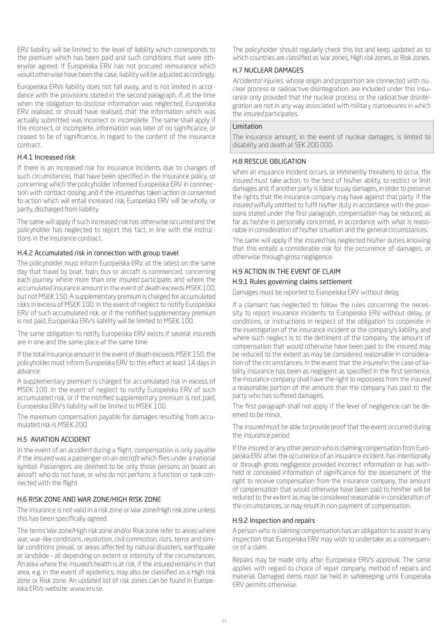ERV liability will be limited to the level of liability which corresponds to the premium which has been paid and such conditions that were otherwise agreed. If Europeiska ERV has not procured reinsurance which would otherwise have been the case, liability will be adjusted accordingly.

Europeiska ERVs liability does not fall away, and is not limited in accordance with the provisions stated in the second paragraph, if, at the time when the obligation to disclose information was neglected, Europeiska ERV realised, or should have realised, that the information which was actually submitted was incorrect or incomplete. The same shall apply if the incorrect, or incomplete, information was later of no significance, or ceased to be of significance, in regard to the content of the insurance contract.

#### H.4.1 Increased risk

If there is an increased risk for insurance incidents due to changes of such circumstances that have been specified in the Insurance policy, or concerning which the policyholder informed Europeiska ERV in connnection with contract closing, and if the *insured* has taken action or consented to action which will entail increased risk, Europeiska ERV will be wholly, or partly, discharged from liability.

The same will apply if such increased risk has otherwise occurred and the policyholder has neglected to report this fact, in line with the instructions in the insurance contract.

#### H.4.2 Accumulated risk in connection with group travel

The policyholder must inform Europeiska ERV, at the latest on the same day that travel by boat, train, bus or aircraft is commenced, concerning each journey where more than one *insured* participate, and where the accumulated insurance amount in the event of death exceeds MSEK 100, but not MSEK 150. A supplementary premium is charged for accumulated risks in excess of MSEK 100. In the event of neglect to notify Europeiska ERV of such accumulated risk, or if the notified supplementary premium is not paid, Europeiska ERV's liability will be limited to MSEK 100.

The same obligation to notify Europeiska ERV exists if several *insureds* are in one and the same place at the same time.

If the total insurance amount in the event of death exceeds MSEK 150, the policyholder must inform Europeiska ERV to this effect at least 14 days in advance.

A supplementary premium is charged for accumulated risk in excess of MSEK 100. In the event of neglect to notify Europeiska ERV of such accumulated risk, or if the notified supplementary premium is not paid, Europeiska ERV's liability will be limited to MSEK 100.

The maximum compensation payable for damages resulting from accumulated risk is MSEK 200.

#### H.5 AVIATION ACCIDENT

In the event of an *accident* during a flight, compensation is only payable if the *insured* was a passenger on an *aircraft* which flies under a national symbol. Passengers are deemed to be only those persons on board an aircraft who do not have, or who do not perform, a function or task connected with the flight

#### H.6 RISK ZONE AND WAR ZONE/HIGH RISK ZONE

The insurance is not valid in a risk zone or War zone/High risk zone unless this has been specifically agreed.

The terms War zone/High risk zone and/or Risk zone refer to areas where war, war-like conditions, revolution, civil commotion, riots, terror and similar conditions prevail, or areas affected by natural disasters, earthquake or landslide – all depending on extent or intensity of the circumstances. An area where the *insured's* health is at risk, if the *insured* remains in that area, e.g. in the event of epidemics, may also be classified as a High risk zone or Risk zone. An updated list of risk zones can be found in Europeiska ERVs website: www.erv.se.

The policyholder should regularly check this list and keep updated as to which countries are classified as War zones, High risk zones, or Risk zones.

#### H.7 NUCLEAR DAMAGES

*Accidental injuries*, whose origin and proportion are connected with nuclear process or radioactive disintegration, are included under this insurance only provided that the nuclear process or the radioactive disintegration are not in any way associated with military manoeuvres in which the *insured* participates.

#### Limitation

The insurance amount, in the event of nuclear damages, is limited to disability and death at SEK 200 000.

#### H.8 RESCUE OBLIGATION

When an insurance incident occurs, or imminently threatens to occur, the *insured* must take action, to the best of his/her ability, to restrict or limit damages and, if another party is liable to pay damages, in order to preserve the rights that the insurance company may have against that party. If the *insured* wilfully omitted to fulfil his/her duty in accordance with the provisions stated under the first paragraph, compensation may be reduced, as far as he/she is personally concerned, in accordance with what is reasonable in consideration of his/her situation and the general circumstances.

The same will apply if the *insured* has neglected his/her duties, knowing that this entails a considerable risk for the occurrence of damages, or otherwise through gross negligence.

#### H.9 ACTION IN THE EVENT OF CLAIM

#### H.9.1 Rules governing claims settlement

Damages must be reported to Europeiska ERV without delay.

If a claimant has neglected to follow the rules concerning the necessity to report insurance incidents to Europeiska ERV without delay, or conditions, or instructions in respect of the obligation to cooperate in the investigation of the insurance incident or the company's liability, and where such neglect is to the detriment of the company, the amount of compensation that would otherwise have been paid to the *insured,* may be reduced to the extent as may be considered reasonable in consideration of the circumstances. In the event that the *insured* in the case of liability insurance has been as negligent as specified in the first sentence, the insurance company shall have the right to repossess from the *insured* a reasonable portion of the amount that the company has paid to the party who has suffered damages.

The first paragraph shall not apply if the level of negligence can be deemed to be minor.

The *insured* must be able to provide proof that the event occurred during the *insurance period.*

If the *insured*, or any other person who is claiming compensation from Europeiska ERV after the occurrence of an insurance incident, has intentionally or through gross negligence provided incorrect information or has withheld or concealed information of significance for the assessment of the right to receive compensation from the insurance company, the amount of compensation that would otherwise have been paid to him/her will be reduced to the extent as may be considered reasonable in consideration of the circumstances, or may result in non-payment of compensation.

#### H.9.2 Inspection and repairs

A person who is claiming compensation has an obligation to assist in any inspection that Europeiska ERV may wish to undertake as a consequence of a claim.

Repairs may be made only after Europeiska ERV's approval. The same applies with regard to choice of repair company, method of repairs and material. Damaged items must be held in safekeeping until Europeiska ERV permits otherwise.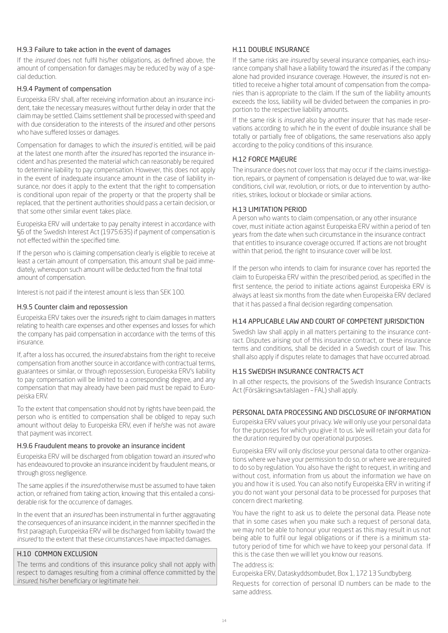#### H.9.3 Failure to take action in the event of damages

If the *insured* does not fulfil his/her obligations, as defined above, the amount of compensation for damages may be reduced by way of a special deduction.

#### H.9.4 Payment of compensation

Europeiska ERV shall, after receiving information about an insurance incident, take the necessary measures without further delay in order that the claim may be settled. Claims settlement shall be processed with speed and with due consideration to the interests of the *insured* and other persons who have suffered losses or damages.

Compensation for damages to which the *insured* is entitled, will be paid at the latest one month after the *insured* has reported the insurance incident and has presented the material which can reasonably be required to determine liability to pay compensation. However, this does not apply in the event of inadequate insurance amount in the case of liability insurance, nor does it apply to the extent that the right to compensation is conditional upon repair of the property or that the property shall be replaced, that the pertinent authorities should pass a certain decision, or that some other similar event takes place.

Europeiska ERV will undertake to pay penalty interest in accordance with §6 of the Swedish Interest Act (1975:635) if payment of compensation is not effected within the specified time.

If the person who is claiming compensation clearly is eligible to receive at least a certain amount of compensation, this amount shall be paid immediately, whereupon such amount will be deducted from the final total amount of compensation.

Interest is not paid if the interest amount is less than SEK 100.

#### H.9.5 Counter claim and repossession

Europeiska ERV takes over the *insured*'s right to claim damages in matters relating to health care expenses and other expenses and losses for which the company has paid compensation in accordance with the terms of this insurance.

If, after a loss has occurred, the *insured* abstains from the right to receive compensation from another source in accordance with contractual terms, guarantees or similar, or through repossession, Europeiska ERV's liability to pay compensation will be limited to a corresponding degree, and any compensation that may already have been paid must be repaid to Europeiska ERV.

To the extent that compensation should not by rights have been paid, the person who is entitled to compensation shall be obliged to repay such amount without delay to Europeiska ERV, even if he/she was not aware that payment was incorrect.

#### H.9.6 Fraudulent means to provoke an insurance incident

Europeiska ERV will be discharged from obligation toward an *insured* who has endeavoured to provoke an insurance incident by fraudulent means, or through gross negligence.

The same applies if the *insured* otherwise must be assumed to have taken action, or refrained from taking action, knowing that this entailed a considerable risk for the occurrence of damages.

In the event that an *insured* has been instrumental in further aggravating the consequences of an insurance incident, in the mannner specified in the first paragraph, Europeiska ERV will be discharged from liability toward the *insured* to the extent that these circumstances have impacted damages.

#### H.10 COMMON EXCLUSION

The terms and conditions of this insurance policy shall not apply with respect to damages resulting from a criminal offence committed by the *insured*, his/her beneficiary or legitimate heir.

#### H.11 DOUBLE INSURANCE

If the same risks are *insured* by several insurance companies, each insurance company shall have a liability toward the *insured* as if the company alone had provided insurance coverage. However, the *insured* is not entitled to receive a higher total amount of compensation from the companies than is appropriate to the claim. If the sum of the liability amounts exceeds the loss, liability will be divided between the companies in proportion to the respective liability amounts.

If the same risk is *insured* also by another insurer that has made reservations according to which he in the event of double insurance shall be totally or partially free of obligations, the same reservations also apply according to the policy conditions of this insurance.

#### H.12 FORCE MAJEURE

The insurance does not cover loss that may occur if the claims investigation, repairs, or payment of compensation is delayed due to war, war-like conditions, civil war, revolution, or riots, or due to intervention by authorities, strikes, lockout or blockade or similar actions.

#### H.13 LIMITATION PERIOD

A person who wants to claim compensation, or any other insurance cover, must initiate action against Europeiska ERV within a period of ten years from the date when such circumstance in the insurance contract that entitles to insurance coverage occurred. If actions are not brought within that period, the right to insurance cover will be lost.

If the person who intends to claim for insurance cover has reported the claim to Europeiska ERV within the prescribed period, as specified in the first sentence, the period to initiate actions against Europeiska ERV is always at least six months from the date when Europeiska ERV declared that it has passed a final decision regarding compensation.

#### H.14 APPLICABLE LAW AND COURT OF COMPETENT JURISDICTION

Swedish law shall apply in all matters pertaining to the insurance contract. Disputes arising out of this insurance contract, or these insurance terms and conditions, shall be decided in a Swedish court of law. This shall also apply if disputes relate to damages that have occurred abroad.

#### H.15 SWEDISH INSURANCE CONTRACTS ACT

In all other respects, the provisions of the Swedish Insurance Contracts Act (Försäkringsavtalslagen – FAL) shall apply.

#### PERSONAL DATA PROCESSING AND DISCLOSURE OF INFORMATION

Europeiska ERV values your privacy. We will only use your personal data for the purposes for which you give it to us. We will retain your data for the duration required by our operational purposes.

Europeiska ERV will only disclose your personal data to other organizations where we have your permission to do so, or where we are required to do so by regulation. You also have the right to request, in writing and without cost, information from us about the information we have on you and how it is used. You can also notify Europeiska ERV in writing if you do not want your personal data to be processed for purposes that concern direct marketing.

You have the right to ask us to delete the personal data. Please note that in some cases when you make such a request of personal data, we may not be able to honour your request as this may result in us not being able to fulfil our legal obligations or if there is a minimum statutory period of time for which we have to keep your personal data. If this is the case then we will let you know our reasons.

#### The address is:

Europeiska ERV, Dataskyddsombudet, Box 1, 172 13 Sundbyberg.

Requests for correction of personal ID numbers can be made to the same address.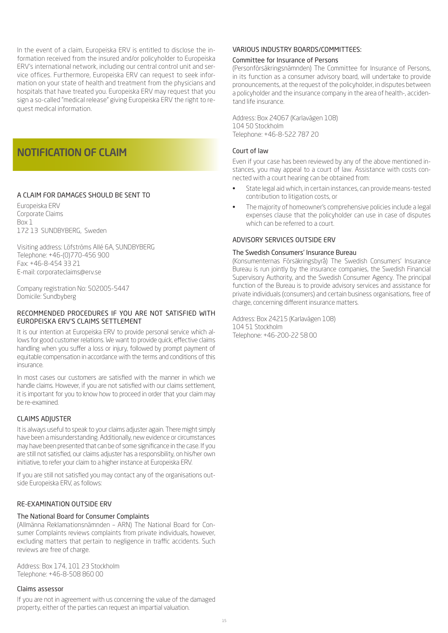In the event of a claim, Europeiska ERV is entitled to disclose the information received from the insured and/or policyholder to Europeiska ERV's international network, including our central control unit and service offices. Furthermore, Europeiska ERV can request to seek information on your state of health and treatment from the physicians and hospitals that have treated you. Europeiska ERV may request that you sign a so-called "medical release" giving Europeiska ERV the right to request medical information.

## NOTIFICATION OF CLAIM

#### A CLAIM FOR DAMAGES SHOULD BE SENT TO

Europeiska ERV Corporate Claims Box 1 172 13 SUNDBYBERG, Sweden

Visiting address: Löfströms Allé 6A, SUNDBYBERG Telephone: +46-(0)770-456 900 Fax: +46-8-454 33 21 E-mail: corporateclaims@erv.se

Company registration No: 502005-5447 Domicile: Sundbyberg

#### RECOMMENDED PROCEDURES IF YOU ARE NOT SATISFIED WITH EUROPEISKA ERV'S CLAIMS SETTLEMENT

It is our intention at Europeiska ERV to provide personal service which allows for good customer relations. We want to provide quick, effective claims handling when you suffer a loss or injury, followed by prompt payment of equitable compensation in accordance with the terms and conditions of this insurance.

In most cases our customers are satisfied with the manner in which we handle claims. However, if you are not satisfied with our claims settlement, it is important for you to know how to proceed in order that your claim may be re-examined.

#### CLAIMS ADJUSTER

It is always useful to speak to your claims adjuster again. There might simply have been a misunderstanding. Additionally, new evidence or circumstances may have been presented that can be of some significance in the case. If you are still not satisfied, our claims adjuster has a responsibility, on his/her own initiative, to refer your claim to a higher instance at Europeiska ERV.

If you are still not satisfied you may contact any of the organisations outside Europeiska ERV, as follows:

#### RE-EXAMINATION OUTSIDE ERV

#### The National Board for Consumer Complaints

(Allmänna Reklamationsnämnden – ARN) The National Board for Consumer Complaints reviews complaints from private individuals, however, excluding matters that pertain to negligence in traffic accidents. Such reviews are free of charge.

Address: Box 174, 101 23 Stockholm Telephone: +46-8-508 860 00

#### Claims assessor

If you are not in agreement with us concerning the value of the damaged property, either of the parties can request an impartial valuation.

#### VARIOUS INDUSTRY BOARDS/COMMITTEES:

#### Committee for Insurance of Persons

(Personförsäkringsnämnden) The Committee for Insurance of Persons, in its function as a consumer advisory board, will undertake to provide pronouncements, at the request of the policyholder, in disputes between a policyholder and the insurance company in the area of health-, accidentand life insurance.

Address: Box 24067 (Karlavägen 108) 104 50 Stockholm Telephone: +46-8-522 787 20

#### Court of law

Even if your case has been reviewed by any of the above mentioned instances, you may appeal to a court of law. Assistance with costs connected with a court hearing can be obtained from:

- State legal aid which, in certain instances, can provide means-tested contribution to litigation costs, or
- The majority of homeowner's comprehensive policies include a legal expenses clause that the policyholder can use in case of disputes which can be referred to a court.

#### ADVISORY SERVICES OUTSIDE ERV

#### The Swedish Consumers' Insurance Bureau

(Konsumenternas Försäkringsbyrå) The Swedish Consumers' Insurance Bureau is run jointly by the insurance companies, the Swedish Financial Supervisory Authority, and the Swedish Consumer Agency. The principal function of the Bureau is to provide advisory services and assistance for private individuals (consumers) and certain business organisations, free of charge, concerning different insurance matters.

Address: Box 24215 (Karlavägen 108) 104 51 Stockholm Telephone: +46-200-22 58 00